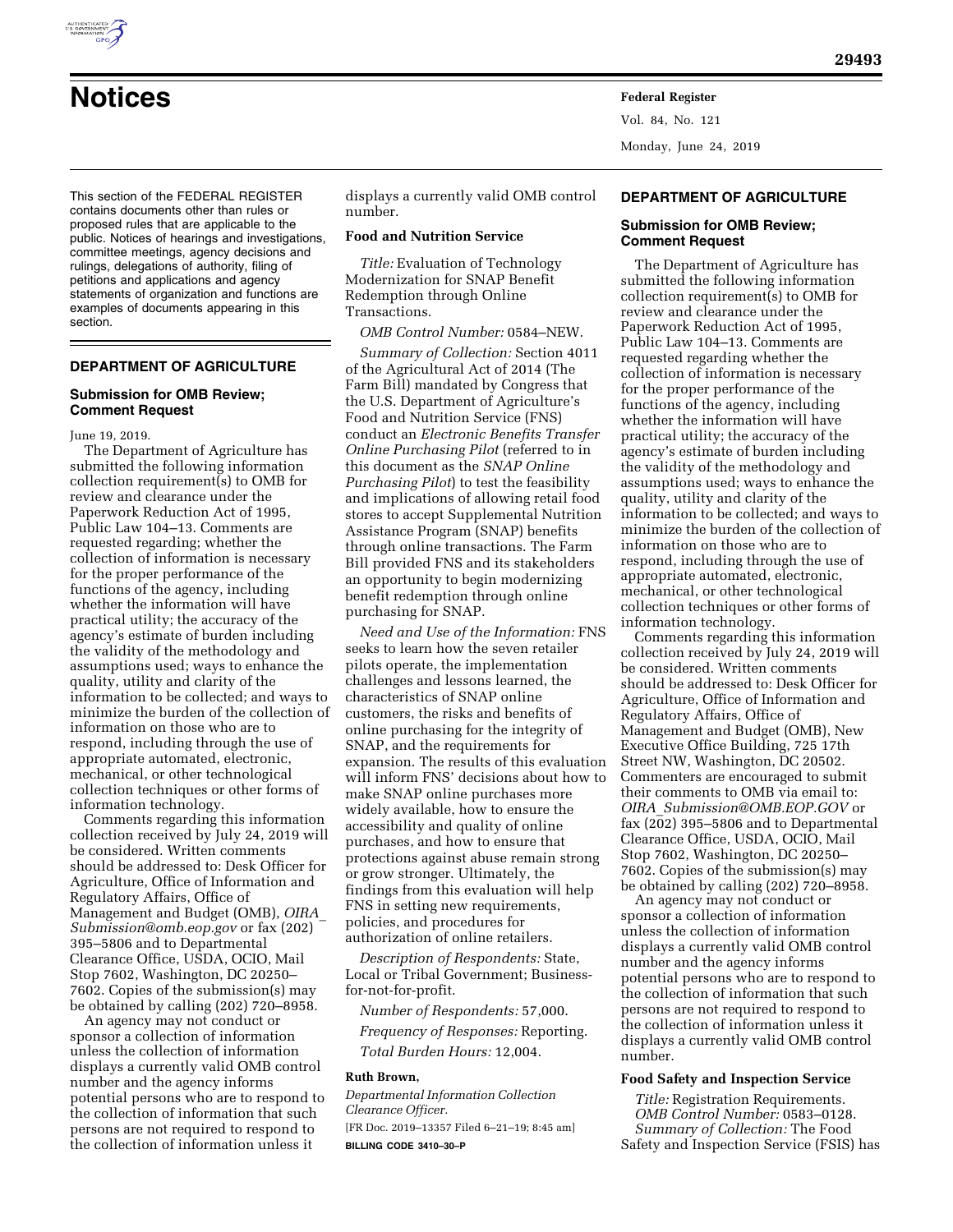

Vol. 84, No. 121 Monday, June 24, 2019

This section of the FEDERAL REGISTER contains documents other than rules or proposed rules that are applicable to the public. Notices of hearings and investigations, committee meetings, agency decisions and rulings, delegations of authority, filing of petitions and applications and agency statements of organization and functions are examples of documents appearing in this section.

# **DEPARTMENT OF AGRICULTURE**

### **Submission for OMB Review; Comment Request**

June 19, 2019.

The Department of Agriculture has submitted the following information collection requirement(s) to OMB for review and clearance under the Paperwork Reduction Act of 1995, Public Law 104–13. Comments are requested regarding; whether the collection of information is necessary for the proper performance of the functions of the agency, including whether the information will have practical utility; the accuracy of the agency's estimate of burden including the validity of the methodology and assumptions used; ways to enhance the quality, utility and clarity of the information to be collected; and ways to minimize the burden of the collection of information on those who are to respond, including through the use of appropriate automated, electronic, mechanical, or other technological collection techniques or other forms of information technology.

Comments regarding this information collection received by July 24, 2019 will be considered. Written comments should be addressed to: Desk Officer for Agriculture, Office of Information and Regulatory Affairs, Office of Management and Budget (OMB), *[OIRA](mailto:OIRA_Submission@omb.eop.gov)*\_ *[Submission@omb.eop.gov](mailto:OIRA_Submission@omb.eop.gov)* or fax (202) 395–5806 and to Departmental Clearance Office, USDA, OCIO, Mail Stop 7602, Washington, DC 20250– 7602. Copies of the submission(s) may be obtained by calling (202) 720–8958.

An agency may not conduct or sponsor a collection of information unless the collection of information displays a currently valid OMB control number and the agency informs potential persons who are to respond to the collection of information that such persons are not required to respond to the collection of information unless it

displays a currently valid OMB control number.

## **Food and Nutrition Service**

*Title:* Evaluation of Technology Modernization for SNAP Benefit Redemption through Online Transactions.

*OMB Control Number:* 0584–NEW.

*Summary of Collection:* Section 4011 of the Agricultural Act of 2014 (The Farm Bill) mandated by Congress that the U.S. Department of Agriculture's Food and Nutrition Service (FNS) conduct an *Electronic Benefits Transfer Online Purchasing Pilot* (referred to in this document as the *SNAP Online Purchasing Pilot*) to test the feasibility and implications of allowing retail food stores to accept Supplemental Nutrition Assistance Program (SNAP) benefits through online transactions. The Farm Bill provided FNS and its stakeholders an opportunity to begin modernizing benefit redemption through online purchasing for SNAP.

*Need and Use of the Information:* FNS seeks to learn how the seven retailer pilots operate, the implementation challenges and lessons learned, the characteristics of SNAP online customers, the risks and benefits of online purchasing for the integrity of SNAP, and the requirements for expansion. The results of this evaluation will inform FNS' decisions about how to make SNAP online purchases more widely available, how to ensure the accessibility and quality of online purchases, and how to ensure that protections against abuse remain strong or grow stronger. Ultimately, the findings from this evaluation will help FNS in setting new requirements, policies, and procedures for authorization of online retailers.

*Description of Respondents:* State, Local or Tribal Government; Businessfor-not-for-profit.

*Number of Respondents:* 57,000. *Frequency of Responses:* Reporting. *Total Burden Hours:* 12,004.

#### **Ruth Brown,**

*Departmental Information Collection Clearance Officer.*  [FR Doc. 2019–13357 Filed 6–21–19; 8:45 am] **BILLING CODE 3410–30–P** 

## **DEPARTMENT OF AGRICULTURE**

# **Submission for OMB Review; Comment Request**

The Department of Agriculture has submitted the following information collection requirement(s) to OMB for review and clearance under the Paperwork Reduction Act of 1995, Public Law 104–13. Comments are requested regarding whether the collection of information is necessary for the proper performance of the functions of the agency, including whether the information will have practical utility; the accuracy of the agency's estimate of burden including the validity of the methodology and assumptions used; ways to enhance the quality, utility and clarity of the information to be collected; and ways to minimize the burden of the collection of information on those who are to respond, including through the use of appropriate automated, electronic, mechanical, or other technological collection techniques or other forms of information technology.

Comments regarding this information collection received by July 24, 2019 will be considered. Written comments should be addressed to: Desk Officer for Agriculture, Office of Information and Regulatory Affairs, Office of Management and Budget (OMB), New Executive Office Building, 725 17th Street NW, Washington, DC 20502. Commenters are encouraged to submit their comments to OMB via email to: *OIRA*\_*[Submission@OMB.EOP.GOV](mailto:OIRA_Submission@OMB.EOP.GOV)* or fax (202) 395–5806 and to Departmental Clearance Office, USDA, OCIO, Mail Stop 7602, Washington, DC 20250– 7602. Copies of the submission(s) may be obtained by calling (202) 720–8958.

An agency may not conduct or sponsor a collection of information unless the collection of information displays a currently valid OMB control number and the agency informs potential persons who are to respond to the collection of information that such persons are not required to respond to the collection of information unless it displays a currently valid OMB control number.

#### **Food Safety and Inspection Service**

*Title:* Registration Requirements. *OMB Control Number:* 0583–0128. *Summary of Collection:* The Food Safety and Inspection Service (FSIS) has